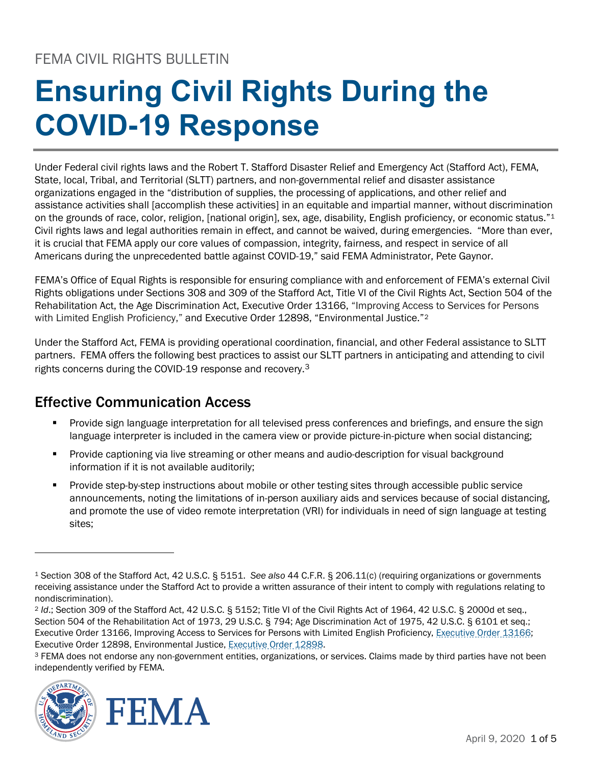# **Ensuring Civil Rights During the COVID-19 Response**

Under Federal civil rights laws and the Robert T. Stafford Disaster Relief and Emergency Act (Stafford Act), FEMA, State, local, Tribal, and Territorial (SLTT) partners, and non-governmental relief and disaster assistance organizations engaged in the "distribution of supplies, the processing of applications, and other relief and assistance activities shall [accomplish these activities] in an equitable and impartial manner, without discrimination on the grounds of race, color, religion, [national origin], sex, age, disability, English proficiency, or economic status."[1](#page-0-0)  Civil rights laws and legal authorities remain in effect, and cannot be waived, during emergencies. "More than ever, it is crucial that FEMA apply our core values of compassion, integrity, fairness, and respect in service of all Americans during the unprecedented battle against COVID-19," said FEMA Administrator, Pete Gaynor.

FEMA's Office of Equal Rights is responsible for ensuring compliance with and enforcement of FEMA's external Civil Rights obligations under Sections 308 and 309 of the Stafford Act, Title VI of the Civil Rights Act, Section 504 of the Rehabilitation Act, the Age Discrimination Act, Executive Order 13166, "Improving Access to Services for Persons with Limited English Proficiency," and Executive Order 1[2](#page-0-1)898, "Environmental Justice."<sup>2</sup>

Under the Stafford Act, FEMA is providing operational coordination, financial, and other Federal assistance to SLTT partners. FEMA offers the following best practices to assist our SLTT partners in anticipating and attending to civil rights concerns during the COVID-19 response and recovery.<sup>[3](#page-0-2)</sup>

## Effective Communication Access

- Provide sign language interpretation for all televised press conferences and briefings, and ensure the sign language interpreter is included in the camera view or provide picture-in-picture when social distancing;
- Provide captioning via live streaming or other means and audio-description for visual background information if it is not available auditorily;
- Provide step-by-step instructions about mobile or other testing sites through accessible public service announcements, noting the limitations of in-person auxiliary aids and services because of social distancing, and promote the use of video remote interpretation (VRI) for individuals in need of sign language at testing sites;

<span id="page-0-2"></span><sup>&</sup>lt;sup>3</sup> FEMA does not endorse any non-government entities, organizations, or services. Claims made by third parties have not been independently verified by FEMA.



<span id="page-0-0"></span><sup>1</sup> Section 308 of the Stafford Act, 42 U.S.C. § 5151. *See also* [44 C.F.R. § 206.11\(c\)](https://www.law.cornell.edu/cfr/text/44/206.11) (requiring organizations or governments receiving assistance under the Stafford Act to provide a written assurance of their intent to comply with regulations relating to nondiscrimination).

<span id="page-0-1"></span><sup>2</sup> *Id*.; Section 309 of the Stafford Act, 42 U.S.C. § 5152; Title VI of the Civil Rights Act of 1964, 42 U.S.C. § 2000d et seq., Section 504 of the Rehabilitation Act of 1973, 29 U.S.C. § 794; Age Discrimination Act of 1975, 42 U.S.C. § 6101 et seq.; Executive Order 13166, Improving Access to Services for Persons with Limited English Proficiency, [Executive Order 13166;](https://www.lep.gov/executive-order-13166) Executive Order 12898, Environmental Justice, [Executive Order 12898.](https://www.archives.gov/files/federal-register/executive-orders/pdf/12898.pdf)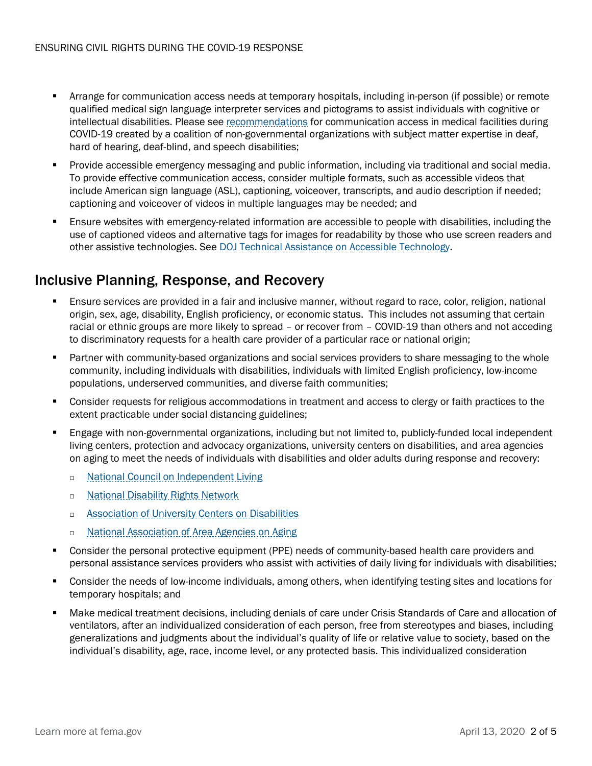- Arrange for communication access needs at temporary hospitals, including in-person (if possible) or remote qualified medical sign language interpreter services and pictograms to assist individuals with cognitive or intellectual disabilities. Please see [recommendations](https://www.nad.org/covid19-communication-access-recs-for-hospital/) for communication access in medical facilities during COVID-19 created by a coalition of non-governmental organizations with subject matter expertise in deaf, hard of hearing, deaf-blind, and speech disabilities;
- **Provide accessible emergency messaging and public information, including via traditional and social media.** To provide effective communication access, consider multiple formats, such as accessible videos that include American sign language (ASL), captioning, voiceover, transcripts, and audio description if needed; captioning and voiceover of videos in multiple languages may be needed; and
- **Ensure websites with emergency-related information are accessible to people with disabilities, including the** use of captioned videos and alternative tags for images for readability by those who use screen readers and other assistive technologies. See [DOJ Technical Assistance on Accessible Technology.](https://www.ada.gov/access-technology/guidance.html)

### Inclusive Planning, Response, and Recovery

- Ensure services are provided in a fair and inclusive manner, without regard to race, color, religion, national origin, sex, age, disability, English proficiency, or economic status. This includes not assuming that certain racial or ethnic groups are more likely to spread – or recover from – COVID-19 than others and not acceding to discriminatory requests for a health care provider of a particular race or national origin;
- Partner with community-based organizations and social services providers to share messaging to the whole community, including individuals with disabilities, individuals with limited English proficiency, low-income populations, underserved communities, and diverse faith communities;
- Consider requests for religious accommodations in treatment and access to clergy or faith practices to the extent practicable under social distancing guidelines;
- Engage with non-governmental organizations, including but not limited to, publicly-funded local independent living centers, protection and advocacy organizations, university centers on disabilities, and area agencies on aging to meet the needs of individuals with disabilities and older adults during response and recovery:
	- □ [National Council on Independent Living](https://ncil.org/about/aboutil/)
	- **n** [National Disability Rights Network](https://www.ndrn.org/about/ndrn-member-agencies/)
	- □ [Association of University Centers on Disabilities](https://www.aucd.org/directory/directory.cfm?program=UCEDD)
	- □ [National Association of Area Agencies on Aging](https://www.n4a.org/)
- Consider the personal protective equipment (PPE) needs of community-based health care providers and personal assistance services providers who assist with activities of daily living for individuals with disabilities;
- Consider the needs of low-income individuals, among others, when identifying testing sites and locations for temporary hospitals; and
- Make medical treatment decisions, including denials of care under Crisis Standards of Care and allocation of ventilators, after an individualized consideration of each person, free from stereotypes and biases, including generalizations and judgments about the individual's quality of life or relative value to society, based on the individual's disability, age, race, income level, or any protected basis. This individualized consideration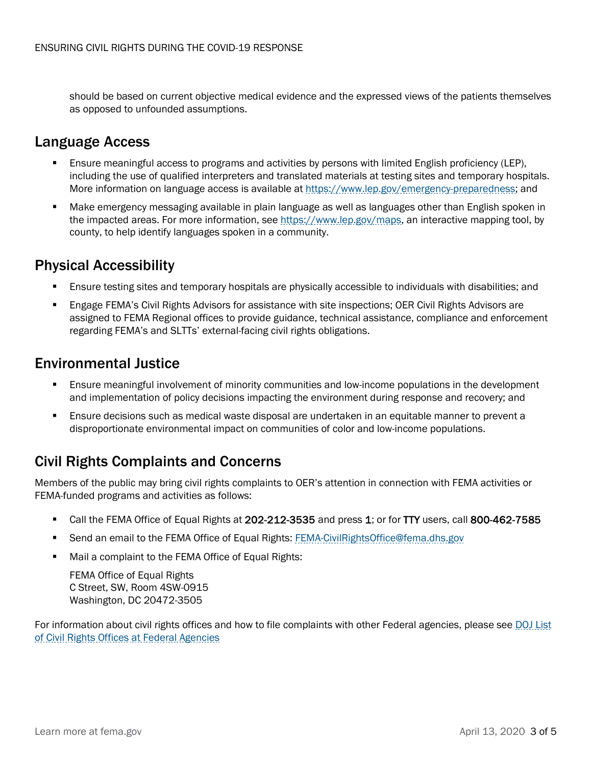should be based on current objective medical evidence and the expressed views of the patients themselves as opposed to unfounded assumptions.

### Language Access

- Ensure meaningful access to programs and activities by persons with limited English proficiency (LEP), including the use of qualified interpreters and translated materials at testing sites and temporary hospitals. More information on language access is available at [https://www.lep.gov/emergency-preparedness;](https://www.lep.gov/emergency-preparedness) and
- Make emergency messaging available in plain language as well as languages other than English spoken in the impacted areas. For more information, see [https://www.lep.gov/maps,](https://www.lep.gov/maps) an interactive mapping tool, by county, to help identify languages spoken in a community.

#### Physical Accessibility

- Ensure testing sites and temporary hospitals are physically accessible to individuals with disabilities; and
- Engage FEMA's Civil Rights Advisors for assistance with site inspections; OER Civil Rights Advisors are assigned to FEMA Regional offices to provide guidance, technical assistance, compliance and enforcement regarding FEMA's and SLTTs' external-facing civil rights obligations.

#### Environmental Justice

- Ensure meaningful involvement of minority communities and low-income populations in the development and implementation of policy decisions impacting the environment during response and recovery; and
- Ensure decisions such as medical waste disposal are undertaken in an equitable manner to prevent a disproportionate environmental impact on communities of color and low-income populations.

## Civil Rights Complaints and Concerns

Members of the public may bring civil rights complaints to OER's attention in connection with FEMA activities or FEMA-funded programs and activities as follows:

- Call the FEMA Office of Equal Rights at 202-212-3535 and press 1; or for TTY users, call 800-462-7585
- Send an email to the FEMA Office of Equal Rights: [FEMA-CivilRightsOffice@fema.dhs.gov](mailto:FEMA-CivilRightsOffice@fema.dhs.gov)
- Mail a complaint to the FEMA Office of Equal Rights:

FEMA Office of Equal Rights C Street, SW, Room 4SW-0915 Washington, DC 20472-3505

For information about civil rights offices and how to file complaints with other Federal agencies, please see [DOJ List](https://www.justice.gov/crt/fcs/Agency-OCR-Offices)  [of Civil Rights Offices at Federal Agencies](https://www.justice.gov/crt/fcs/Agency-OCR-Offices)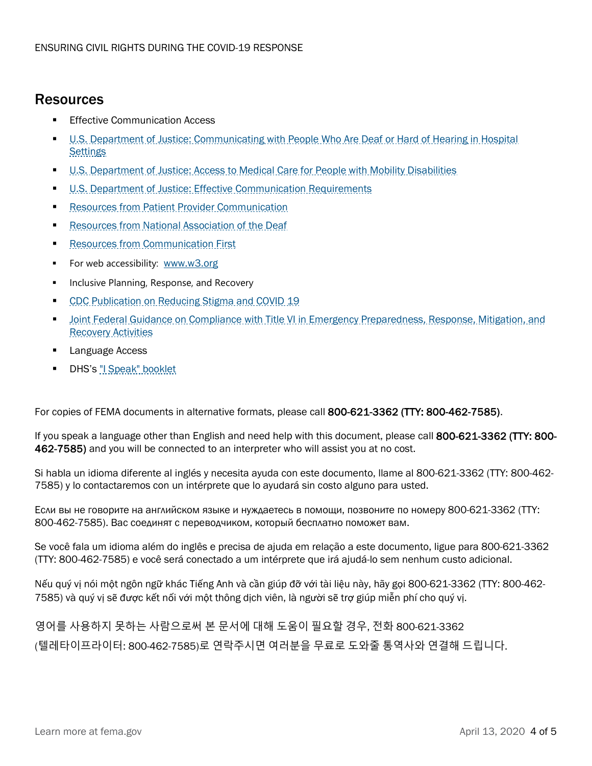#### Resources

- Effective Communication Access
- [U.S. Department of Justice: Communicating with People Who Are Deaf or Hard of Hearing in Hospital](https://www.ada.gov/hospcombr.htm)  **[Settings](https://www.ada.gov/hospcombr.htm)**
- [U.S. Department of Justice: Access to Medical Care for People with Mobility Disabilities](https://www.ada.gov/medcare_mobility_ta/medcare_ta.htm)
- [U.S. Department of Justice: Effective Communication Requirements](https://www.ada.gov/effective-comm.htm)
- [Resources from Patient Provider Communication](https://www.patientprovidercommunication.org/supporting-communication-covid-19.htm)
- [Resources from National Association of the Deaf](https://www.nad.org/covid19-communication-access-recs-for-hospital/)
- Resources from Communication First
- For web accessibility: [www.w3.org](http://www.w3.org/)
- Inclusive Planning, Response, and Recovery
- [CDC Publication on Reducing Stigma and COVID 19](https://www.cdc.gov/coronavirus/2019-ncov/daily-life-coping/reducing-stigma.html)
- [Joint Federal Guidance on Compliance with Title VI in Emergency Preparedness, Response, Mitigation, and](https://www.justice.gov/crt/fcs/EmergenciesGuidance)  [Recovery Activities](https://www.justice.gov/crt/fcs/EmergenciesGuidance)
- Language Access
- DHS's ["I Speak" booklet](https://www.lep.gov/sites/lep/files/media/document/2020-02/crcl-i-speak-booklet.pdf)

For copies of FEMA documents in alternative formats, please call 800-621-3362 (TTY: 800-462-7585).

If you speak a language other than English and need help with this document, please call 800-621-3362 (TTY: 800- 462-7585) and you will be connected to an interpreter who will assist you at no cost.

Si habla un idioma diferente al inglés y necesita ayuda con este documento, llame al 800-621-3362 (TTY: 800-462- 7585) y lo contactaremos con un intérprete que lo ayudará sin costo alguno para usted.

Если вы не говорите на английском языке и нуждаетесь в помощи, позвоните по номеру 800-621-3362 (TTY: 800-462-7585). Вас соединят с переводчиком, который бесплатно поможет вам.

Se você fala um idioma além do inglês e precisa de ajuda em relação a este documento, ligue para 800-621-3362 (TTY: 800-462-7585) e você será conectado a um intérprete que irá ajudá-lo sem nenhum custo adicional.

Nếu quý vị nói một ngôn ngữ khác Tiếng Anh và cần giúp đỡ với tài liệu này, hãy gọi 800-621-3362 (TTY: 800-462- 7585) và quý vị sẽ được kết nối với một thông dịch viên, là người sẽ trợ giúp miễn phí cho quý vị.

영어를 사용하지 못하는 사람으로써 본 문서에 대해 도움이 필요할 경우, 전화 800-621-3362 (텔레타이프라이터: 800-462-7585)로 연락주시면 여러분을 무료로 도와줄 통역사와 연결해 드립니다.